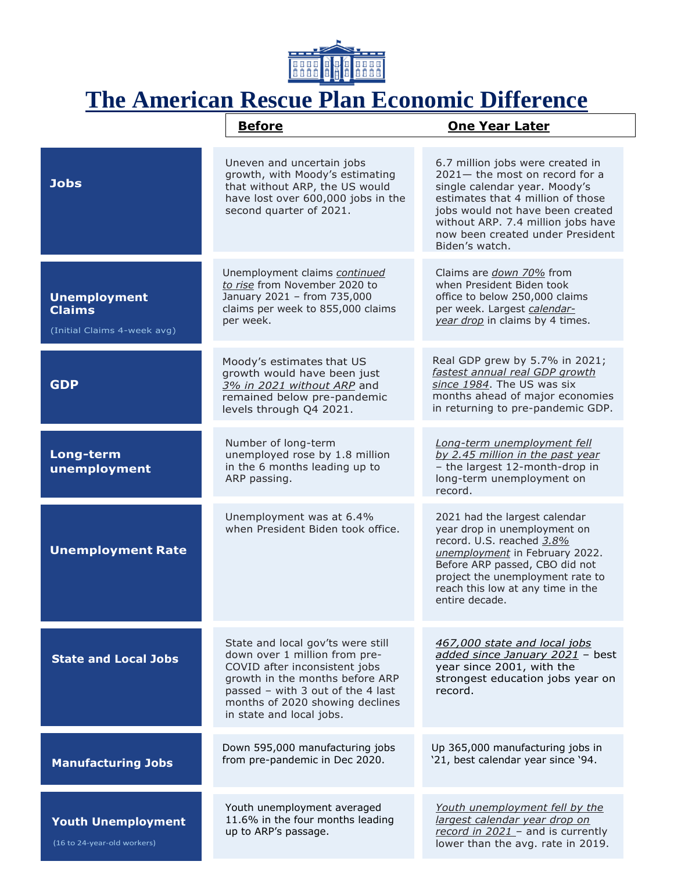

## **The American Rescue Plan Economic Difference**

|                                                                     | <b>Before</b>                                                                                                                                                                                                                              | <b>One Year Later</b>                                                                                                                                                                                                                                                       |
|---------------------------------------------------------------------|--------------------------------------------------------------------------------------------------------------------------------------------------------------------------------------------------------------------------------------------|-----------------------------------------------------------------------------------------------------------------------------------------------------------------------------------------------------------------------------------------------------------------------------|
| <b>Jobs</b>                                                         | Uneven and uncertain jobs<br>growth, with Moody's estimating<br>that without ARP, the US would<br>have lost over 600,000 jobs in the<br>second quarter of 2021.                                                                            | 6.7 million jobs were created in<br>$2021 -$ the most on record for a<br>single calendar year. Moody's<br>estimates that 4 million of those<br>jobs would not have been created<br>without ARP. 7.4 million jobs have<br>now been created under President<br>Biden's watch. |
| <b>Unemployment</b><br><b>Claims</b><br>(Initial Claims 4-week avg) | Unemployment claims continued<br>to rise from November 2020 to<br>January 2021 - from 735,000<br>claims per week to 855,000 claims<br>per week.                                                                                            | Claims are <i>down 70%</i> from<br>when President Biden took<br>office to below 250,000 claims<br>per week. Largest calendar-<br>year drop in claims by 4 times.                                                                                                            |
| <b>GDP</b>                                                          | Moody's estimates that US<br>growth would have been just<br>3% in 2021 without ARP and<br>remained below pre-pandemic<br>levels through Q4 2021.                                                                                           | Real GDP grew by 5.7% in 2021;<br>fastest annual real GDP growth<br>since 1984. The US was six<br>months ahead of major economies<br>in returning to pre-pandemic GDP.                                                                                                      |
| Long-term<br>unemployment                                           | Number of long-term<br>unemployed rose by 1.8 million<br>in the 6 months leading up to<br>ARP passing.                                                                                                                                     | Long-term unemployment fell<br>by 2.45 million in the past year<br>- the largest 12-month-drop in<br>long-term unemployment on<br>record.                                                                                                                                   |
| <b>Unemployment Rate</b>                                            | Unemployment was at 6.4%<br>when President Biden took office.                                                                                                                                                                              | 2021 had the largest calendar<br>year drop in unemployment on<br>record. U.S. reached 3.8%<br>unemployment in February 2022.<br>Before ARP passed, CBO did not<br>project the unemployment rate to<br>reach this low at any time in the<br>entire decade.                   |
| <b>State and Local Jobs</b>                                         | State and local gov'ts were still<br>down over 1 million from pre-<br>COVID after inconsistent jobs<br>growth in the months before ARP<br>passed - with 3 out of the 4 last<br>months of 2020 showing declines<br>in state and local jobs. | 467,000 state and local jobs<br>added since January 2021 - best<br>year since 2001, with the<br>strongest education jobs year on<br>record.                                                                                                                                 |
| <b>Manufacturing Jobs</b>                                           | Down 595,000 manufacturing jobs<br>from pre-pandemic in Dec 2020.                                                                                                                                                                          | Up 365,000 manufacturing jobs in<br>'21, best calendar year since '94.                                                                                                                                                                                                      |
| <b>Youth Unemployment</b><br>(16 to 24-year-old workers)            | Youth unemployment averaged<br>11.6% in the four months leading<br>up to ARP's passage.                                                                                                                                                    | Youth unemployment fell by the<br>largest calendar year drop on<br>record in $2021$ - and is currently<br>lower than the avg. rate in 2019.                                                                                                                                 |